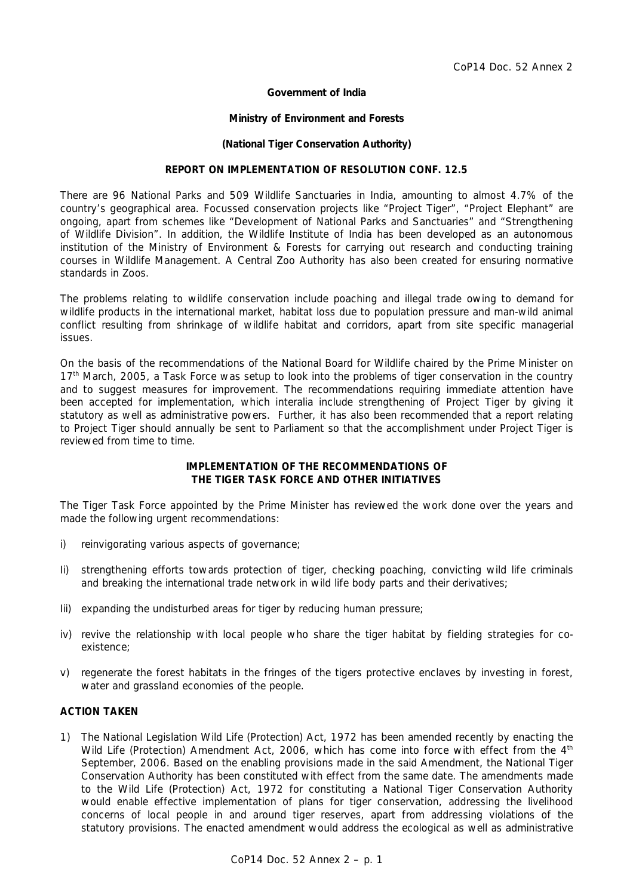# **Government of India**

#### **Ministry of Environment and Forests**

#### **(National Tiger Conservation Authority)**

# **REPORT ON IMPLEMENTATION OF RESOLUTION CONF. 12.5**

There are 96 National Parks and 509 Wildlife Sanctuaries in India, amounting to almost 4.7% of the country's geographical area. Focussed conservation projects like "Project Tiger", "Project Elephant" are ongoing, apart from schemes like "Development of National Parks and Sanctuaries" and "Strengthening of Wildlife Division". In addition, the Wildlife Institute of India has been developed as an autonomous institution of the Ministry of Environment & Forests for carrying out research and conducting training courses in Wildlife Management. A Central Zoo Authority has also been created for ensuring normative standards in Zoos.

The problems relating to wildlife conservation include poaching and illegal trade owing to demand for wildlife products in the international market, habitat loss due to population pressure and man-wild animal conflict resulting from shrinkage of wildlife habitat and corridors, apart from site specific managerial issues.

On the basis of the recommendations of the National Board for Wildlife chaired by the Prime Minister on 17<sup>th</sup> March, 2005, a Task Force was setup to look into the problems of tiger conservation in the country and to suggest measures for improvement. The recommendations requiring immediate attention have been accepted for implementation, which interalia include strengthening of Project Tiger by giving it statutory as well as administrative powers. Further, it has also been recommended that a report relating to Project Tiger should annually be sent to Parliament so that the accomplishment under Project Tiger is reviewed from time to time.

# **IMPLEMENTATION OF THE RECOMMENDATIONS OF THE TIGER TASK FORCE AND OTHER INITIATIVES**

The Tiger Task Force appointed by the Prime Minister has reviewed the work done over the years and made the following urgent recommendations:

- i) reinvigorating various aspects of governance;
- Ii) strengthening efforts towards protection of tiger, checking poaching, convicting wild life criminals and breaking the international trade network in wild life body parts and their derivatives;
- Iii) expanding the undisturbed areas for tiger by reducing human pressure;
- iv) revive the relationship with local people who share the tiger habitat by fielding strategies for coexistence;
- v) regenerate the forest habitats in the fringes of the tigers protective enclaves by investing in forest, water and grassland economies of the people.

### **ACTION TAKEN**

1) The National Legislation Wild Life (Protection) Act, 1972 has been amended recently by enacting the Wild Life (Protection) Amendment Act, 2006, which has come into force with effect from the 4<sup>th</sup> September, 2006. Based on the enabling provisions made in the said Amendment, the National Tiger Conservation Authority has been constituted with effect from the same date. The amendments made to the Wild Life (Protection) Act, 1972 for constituting a National Tiger Conservation Authority would enable effective implementation of plans for tiger conservation, addressing the livelihood concerns of local people in and around tiger reserves, apart from addressing violations of the statutory provisions. The enacted amendment would address the ecological as well as administrative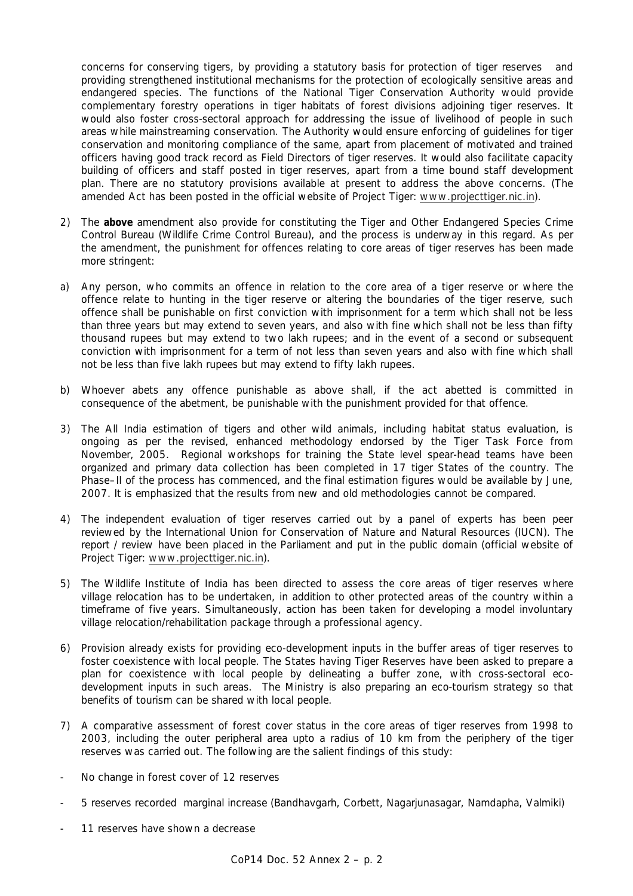concerns for conserving tigers, by providing a statutory basis for protection of tiger reserves and providing strengthened institutional mechanisms for the protection of ecologically sensitive areas and endangered species. The functions of the National Tiger Conservation Authority would provide complementary forestry operations in tiger habitats of forest divisions adjoining tiger reserves. It would also foster cross-sectoral approach for addressing the issue of livelihood of people in such areas while mainstreaming conservation. The Authority would ensure enforcing of guidelines for tiger conservation and monitoring compliance of the same, apart from placement of motivated and trained officers having good track record as Field Directors of tiger reserves. It would also facilitate capacity building of officers and staff posted in tiger reserves, apart from a time bound staff development plan. There are no statutory provisions available at present to address the above concerns. (The amended Act has been posted in the official website of Project Tiger: www.projecttiger.nic.in).

- 2) The **above** amendment also provide for constituting the Tiger and Other Endangered Species Crime Control Bureau (Wildlife Crime Control Bureau), and the process is underway in this regard. As per the amendment, the punishment for offences relating to core areas of tiger reserves has been made more stringent:
- a) Any person, who commits an offence in relation to the core area of a tiger reserve or where the offence relate to hunting in the tiger reserve or altering the boundaries of the tiger reserve, such offence shall be punishable on first conviction with imprisonment for a term which shall not be less than three years but may extend to seven years, and also with fine which shall not be less than fifty thousand rupees but may extend to two lakh rupees; and in the event of a second or subsequent conviction with imprisonment for a term of not less than seven years and also with fine which shall not be less than five lakh rupees but may extend to fifty lakh rupees.
- b) Whoever abets any offence punishable as above shall, if the act abetted is committed in consequence of the abetment, be punishable with the punishment provided for that offence.
- 3) The All India estimation of tigers and other wild animals, including habitat status evaluation, is ongoing as per the revised, enhanced methodology endorsed by the Tiger Task Force from November, 2005. Regional workshops for training the State level spear-head teams have been organized and primary data collection has been completed in 17 tiger States of the country. The Phase–II of the process has commenced, and the final estimation figures would be available by June, 2007. It is emphasized that the results from new and old methodologies cannot be compared.
- 4) The independent evaluation of tiger reserves carried out by a panel of experts has been peer reviewed by the International Union for Conservation of Nature and Natural Resources (IUCN). The report / review have been placed in the Parliament and put in the public domain (official website of Project Tiger: www.projecttiger.nic.in).
- 5) The Wildlife Institute of India has been directed to assess the core areas of tiger reserves where village relocation has to be undertaken, in addition to other protected areas of the country within a timeframe of five years. Simultaneously, action has been taken for developing a model involuntary village relocation/rehabilitation package through a professional agency.
- 6) Provision already exists for providing eco-development inputs in the buffer areas of tiger reserves to foster coexistence with local people. The States having Tiger Reserves have been asked to prepare a plan for coexistence with local people by delineating a buffer zone, with cross-sectoral ecodevelopment inputs in such areas. The Ministry is also preparing an eco-tourism strategy so that benefits of tourism can be shared with local people.
- 7) A comparative assessment of forest cover status in the core areas of tiger reserves from 1998 to 2003, including the outer peripheral area upto a radius of 10 km from the periphery of the tiger reserves was carried out. The following are the salient findings of this study:
- No change in forest cover of 12 reserves
- 5 reserves recorded marginal increase (Bandhavgarh, Corbett, Nagarjunasagar, Namdapha, Valmiki)
- 11 reserves have shown a decrease